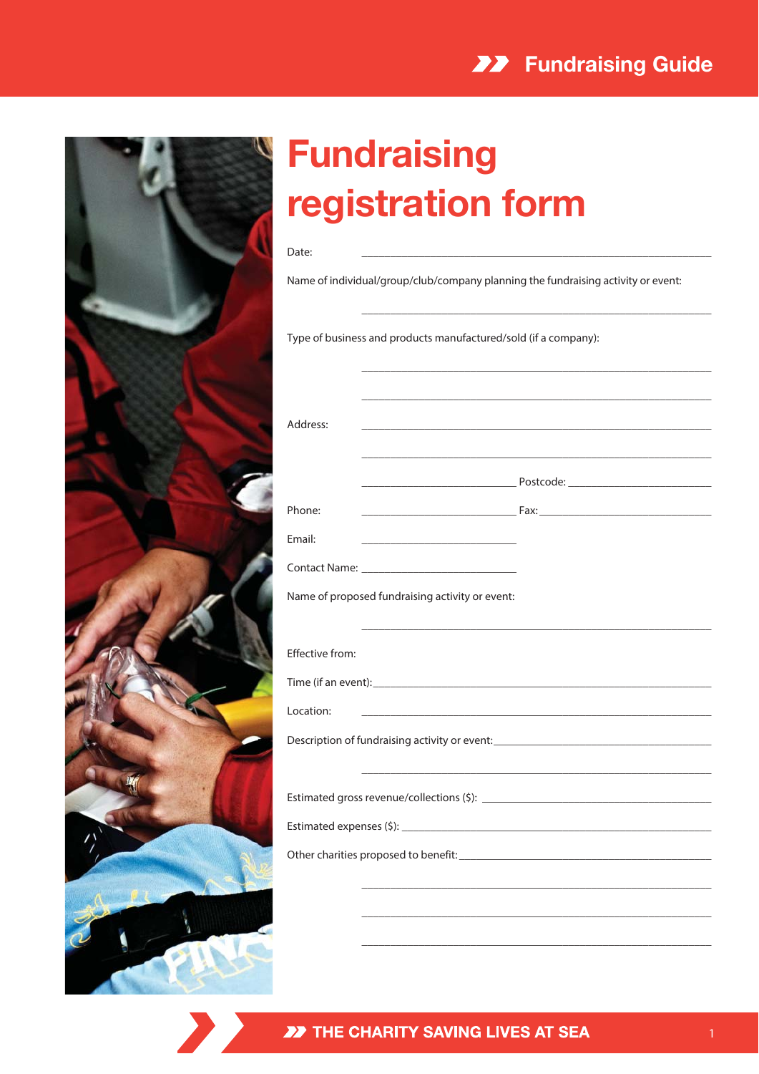## **22** Fundraising Guide



## **Fundraising** registration form

Date:

Name of individual/group/club/company planning the fundraising activity or event:

Type of business and products manufactured/sold (if a company):

Address:

Postcode: \_\_\_\_\_\_\_\_\_\_\_\_\_

Fax:

|  | w<br>۰. | w<br>۰. | $\sim$ |
|--|---------|---------|--------|
|  |         |         |        |

Email:

Contact Name: \_

Name of proposed fundraising activity or event:

## Effective from:

Time (if an event):

Location:

Description of fundraising activity or event:

Estimated gross revenue/collections (\$): \_\_\_\_\_\_\_\_\_\_

Estimated expenses (\$): \_\_\_\_

Other charities proposed to benefit: \_\_\_\_\_\_\_\_\_\_